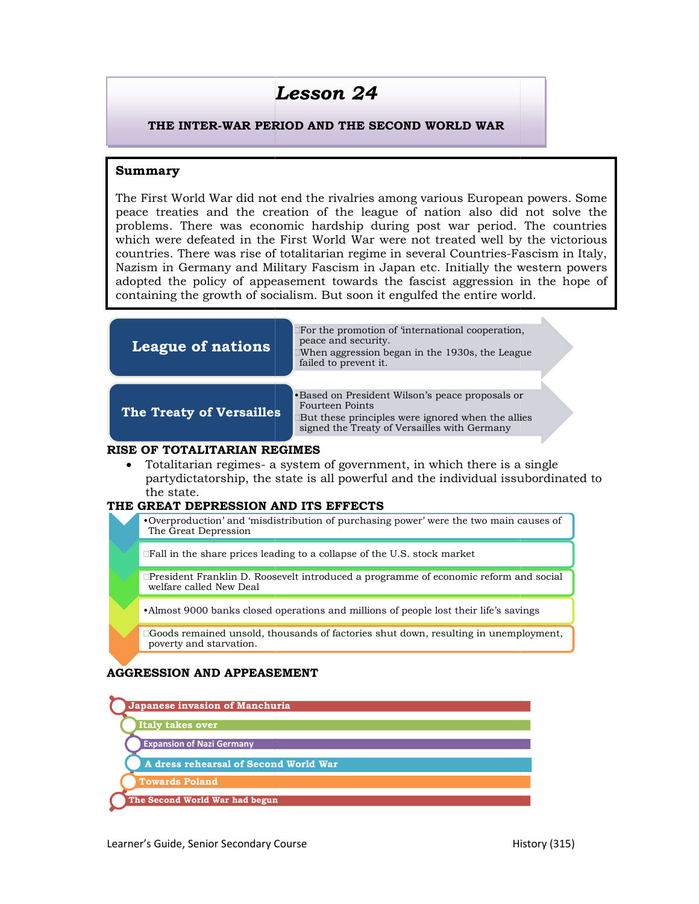# THE INTER-WAR PERIOD AND THE SECOND WORLD WAR

## Summary

The First World War did not end the rivalries among various European powers. Some peace treaties and the creation of the league of nation also did not solve the problems. There was economic hardship during post war period. The countries which were defeated in the First World War were not treated well by the victorious countries. There was rise of totalitarian regime in several Countries Nazism in Germany and Military Fascism in Japan etc. Initially the western powers  $\,|\,$ adopted the policy of appeasement towards the fascist aggression in the hope of adopted the policy of appeasement towards the fascist aggression in the hope of containing the growth of socialism. But soon it engulfed the entire world. **LESSON 24**<br> **ER-WAR PERIOD AND THE SECOND WORLD WAR**<br>
I War did not end the rivalries among various European power<br>
and the creation of the league of nation also did not s<br>
re was economic hardship during post war period.

|                                                                                                 | The First World War did not end the rivalries among various European powers. Some<br>peace treaties and the creation of the league of nation also did not solve the<br>problems. There was economic hardship during post war period. The countries<br>which were defeated in the First World War were not treated well by the victorious<br>countries. There was rise of totalitarian regime in several Countries-Fascism in Italy,<br>Nazism in Germany and Military Fascism in Japan etc. Initially the western powers<br>adopted the policy of appeasement towards the fascist aggression in the hope of<br>containing the growth of socialism. But soon it engulfed the entire world. |
|-------------------------------------------------------------------------------------------------|-------------------------------------------------------------------------------------------------------------------------------------------------------------------------------------------------------------------------------------------------------------------------------------------------------------------------------------------------------------------------------------------------------------------------------------------------------------------------------------------------------------------------------------------------------------------------------------------------------------------------------------------------------------------------------------------|
| <b>League of nations</b>                                                                        | For the promotion of 'international cooperation,<br>peace and security.<br>When aggression began in the 1930s, the League<br>failed to prevent it.                                                                                                                                                                                                                                                                                                                                                                                                                                                                                                                                        |
| The Treaty of Versailles                                                                        | ·Based on President Wilson's peace proposals or<br><b>Fourteen Points</b><br>But these principles were ignored when the allies<br>signed the Treaty of Versailles with Germany                                                                                                                                                                                                                                                                                                                                                                                                                                                                                                            |
| RISE OF TOTALITARIAN REGIMES<br>$\bullet$<br>the state.<br>THE GREAT DEPRESSION AND ITS EFFECTS | Totalitarian regimes a system of government, in which there is a single<br>partydictatorship, the state is all powerful and the individual is subordinated to                                                                                                                                                                                                                                                                                                                                                                                                                                                                                                                             |
| The Great Depression                                                                            | •Overproduction' and 'misdistribution of purchasing power' were the two main causes of                                                                                                                                                                                                                                                                                                                                                                                                                                                                                                                                                                                                    |
|                                                                                                 | Fall in the share prices leading to a collapse of the U.S. stock market                                                                                                                                                                                                                                                                                                                                                                                                                                                                                                                                                                                                                   |
| welfare called New Deal                                                                         | □President Franklin D. Roosevelt introduced a programme of economic reform and social                                                                                                                                                                                                                                                                                                                                                                                                                                                                                                                                                                                                     |
|                                                                                                 | •Almost 9000 banks closed operations and millions of people lost their life's savings                                                                                                                                                                                                                                                                                                                                                                                                                                                                                                                                                                                                     |
|                                                                                                 | Goods remained unsold, thousands of factories shut down, resulting in unemployment,                                                                                                                                                                                                                                                                                                                                                                                                                                                                                                                                                                                                       |

#### RISE OF TOTALITARIAN REGIMES OF

#### THE GREAT DEPRESSION AND ITS EFFECTS

# AGGRESSION AND APPEASEMENT

| <b>Japanese invasion of Manchuria</b> |
|---------------------------------------|
|                                       |
| Italy takes over                      |
|                                       |
| <b>Expansion of Nazi Germany</b>      |
|                                       |
|                                       |
| A dress rehearsal of Second World War |
| <b>Towards Poland</b>                 |
|                                       |
|                                       |
| The Second World War had begun        |